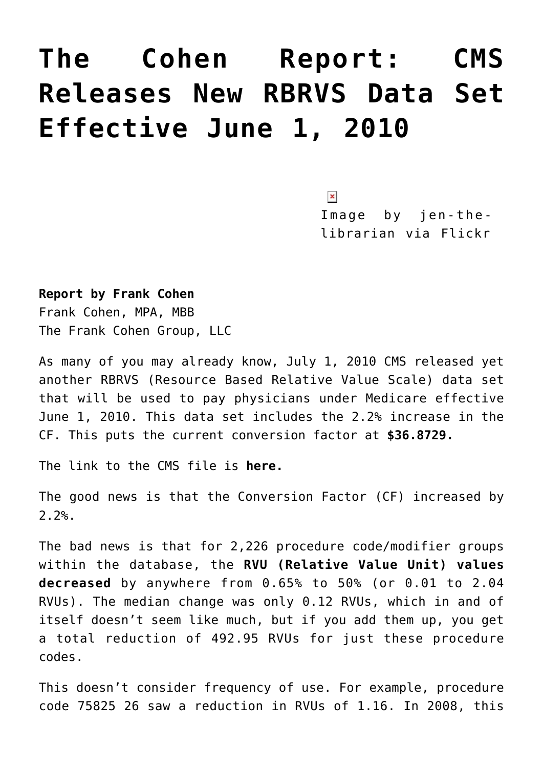## **[The Cohen Report: CMS](https://managemypractice.com/the-cohen-report-cms-releases-new-rbrvs-data-set-effective-june-1-2010/) [Releases New RBRVS Data Set](https://managemypractice.com/the-cohen-report-cms-releases-new-rbrvs-data-set-effective-june-1-2010/) [Effective June 1, 2010](https://managemypractice.com/the-cohen-report-cms-releases-new-rbrvs-data-set-effective-june-1-2010/)**

 $\pmb{\times}$ 

Image by jen-thelibrarian via Flickr

**Report by Frank Cohen**

Frank Cohen, MPA, MBB The Frank Cohen Group, LLC

As many of you may already know, July 1, 2010 CMS released yet another RBRVS (Resource Based Relative Value Scale) data set that will be used to pay physicians under Medicare effective June 1, 2010. This data set includes the 2.2% increase in the CF. This puts the current conversion factor at **\$36.8729.**

The link to the CMS file is **[here.](http://www.cms.gov/Medicare/Medicare-Fee-for-Service-Payment/PhysicianFeeSched/PFS-Relative-Value-Files-Items/CMS1236933.html)**

The good news is that the Conversion Factor (CF) increased by 2.2%.

The bad news is that for 2,226 procedure code/modifier groups within the database, the **RVU (Relative Value Unit) values decreased** by anywhere from 0.65% to 50% (or 0.01 to 2.04 RVUs). The median change was only 0.12 RVUs, which in and of itself doesn't seem like much, but if you add them up, you get a total reduction of 492.95 RVUs for just these procedure codes.

This doesn't consider frequency of use. For example, procedure code 75825 26 saw a reduction in RVUs of 1.16. In 2008, this